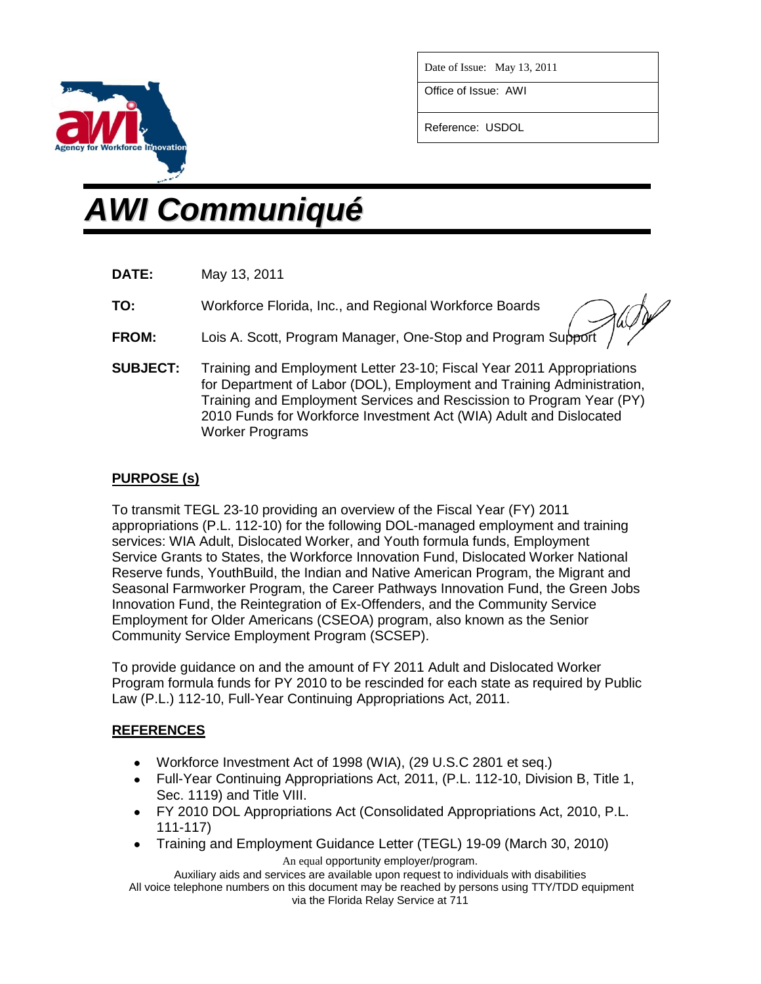

Date of Issue: May 13, 2011

Office of Issue: AWI

Reference: USDOL

# *AWI Communiqué*

- **DATE:** May 13, 2011
- **TO:** Workforce Florida, Inc., and Regional Workforce Boards

- **FROM:** Lois A. Scott, Program Manager, One-Stop and Program Support
- **SUBJECT:** Training and Employment Letter 23-10; Fiscal Year 2011 Appropriations for Department of Labor (DOL), Employment and Training Administration, Training and Employment Services and Rescission to Program Year (PY) 2010 Funds for Workforce Investment Act (WIA) Adult and Dislocated Worker Programs

# **PURPOSE (s)**

To transmit TEGL 23-10 providing an overview of the Fiscal Year (FY) 2011 appropriations (P.L. 112-10) for the following DOL-managed employment and training services: WIA Adult, Dislocated Worker, and Youth formula funds, Employment Service Grants to States, the Workforce Innovation Fund, Dislocated Worker National Reserve funds, YouthBuild, the Indian and Native American Program, the Migrant and Seasonal Farmworker Program, the Career Pathways Innovation Fund, the Green Jobs Innovation Fund, the Reintegration of Ex-Offenders, and the Community Service Employment for Older Americans (CSEOA) program, also known as the Senior Community Service Employment Program (SCSEP).

To provide guidance on and the amount of FY 2011 Adult and Dislocated Worker Program formula funds for PY 2010 to be rescinded for each state as required by Public Law (P.L.) 112-10, Full-Year Continuing Appropriations Act, 2011.

## **REFERENCES**

- Workforce Investment Act of 1998 (WIA), (29 U.S.C 2801 et seq.)
- Full-Year Continuing Appropriations Act, 2011, (P.L. 112-10, Division B, Title 1, Sec. 1119) and Title VIII.
- FY 2010 DOL Appropriations Act (Consolidated Appropriations Act, 2010, P.L. 111-117)
- Training and Employment Guidance Letter (TEGL) 19-09 (March 30, 2010)  $\bullet$ An equal opportunity employer/program.

Auxiliary aids and services are available upon request to individuals with disabilities All voice telephone numbers on this document may be reached by persons using TTY/TDD equipment via the Florida Relay Service at 711